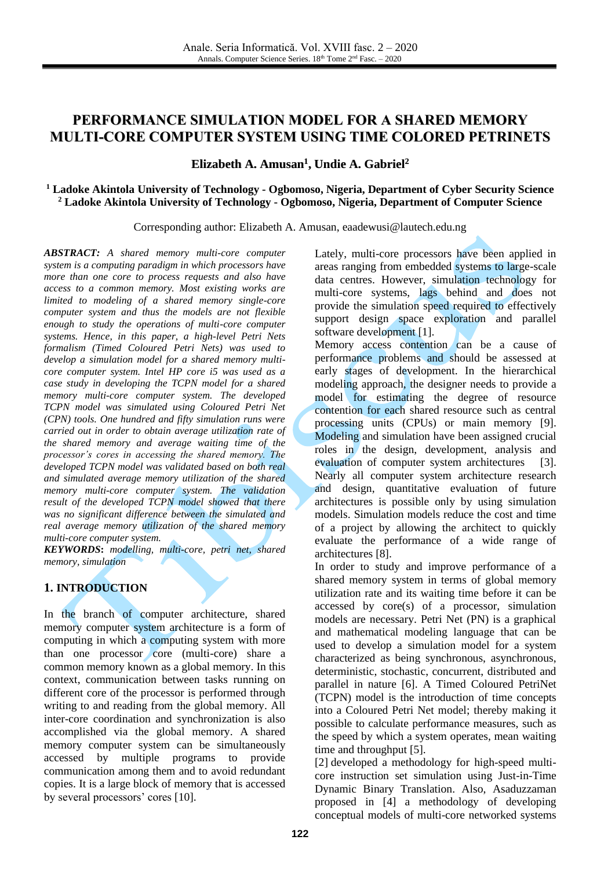# **PERFORMANCE SIMULATION MODEL FOR A SHARED MEMORY MULTI-CORE COMPUTER SYSTEM USING TIME COLORED PETRINETS**

### **Elizabeth A. Amusan 1 , Undie A. Gabriel 2**

#### **<sup>1</sup> Ladoke Akintola University of Technology - Ogbomoso, Nigeria, Department of Cyber Security Science <sup>2</sup> Ladoke Akintola University of Technology - Ogbomoso, Nigeria, Department of Computer Science**

Corresponding author: Elizabeth A. Amusan, eaadewusi@lautech.edu.ng

*ABSTRACT: A shared memory multi-core computer system is a computing paradigm in which processors have more than one core to process requests and also have access to a common memory. Most existing works are limited to modeling of a shared memory single-core computer system and thus the models are not flexible enough to study the operations of multi-core computer systems. Hence, in this paper, a high-level Petri Nets formalism (Timed Coloured Petri Nets) was used to develop a simulation model for a shared memory multicore computer system. Intel HP core i5 was used as a case study in developing the TCPN model for a shared memory multi-core computer system. The developed TCPN model was simulated using Coloured Petri Net (CPN) tools. One hundred and fifty simulation runs were carried out in order to obtain average utilization rate of the shared memory and average waiting time of the processor's cores in accessing the shared memory. The developed TCPN model was validated based on both real and simulated average memory utilization of the shared memory multi-core computer system. The validation result of the developed TCPN model showed that there was no significant difference between the simulated and real average memory utilization of the shared memory multi-core computer system.*

*KEYWORDS***:** *modelling, multi-core, petri net, shared memory, simulation*

### **1. INTRODUCTION**

In the branch of computer architecture, shared memory computer system architecture is a form of computing in which a computing system with more than one processor  $\cos$  (multi-core) share a common memory known as a global memory. In this context, communication between tasks running on different core of the processor is performed through writing to and reading from the global memory. All inter-core coordination and synchronization is also accomplished via the global memory. A shared memory computer system can be simultaneously accessed by multiple programs to provide communication among them and to avoid redundant copies. It is a large block of memory that is accessed by several processors' cores [\[10\].](#page-5-0)

Lately, multi-core processors have been applied in areas ranging from embedded systems to large-scale data centres. However, simulation technology for multi-core systems, lags behind and does not provide the simulation speed required to effectively support design space exploration and parallel software development [\[1\].](#page-5-1)

Memory access contention can be a cause of performance problems and should be assessed at early stages of development. In the hierarchical modeling approach, the designer needs to provide a model for estimating the degree of resource contention for each shared resource such as central processing units (CPUs) or main memory [\[9\].](#page-5-2) Modeling and simulation have been assigned crucial roles in the design, development, analysis and evaluation of computer system architectures [\[3\].](#page-5-3) Nearly all computer system architecture research and design, quantitative evaluation of future architectures is possible only by using simulation models. Simulation models reduce the cost and time of a project by allowing the architect to quickly evaluate the performance of a wide range of architectures [\[8\].](#page-5-4)

In order to study and improve performance of a shared memory system in terms of global memory utilization rate and its waiting time before it can be accessed by core(s) of a processor, simulation models are necessary. Petri Net (PN) is a graphical and mathematical modeling language that can be used to develop a simulation model for a system characterized as being synchronous, asynchronous, deterministic, stochastic, concurrent, distributed and parallel in nature [\[6\].](#page-5-5) A Timed Coloured PetriNet (TCPN) model is the introduction of time concepts into a Coloured Petri Net model; thereby making it possible to calculate performance measures, such as the speed by which a system operates, mean waiting time and throughput [\[5\].](#page-5-6)

[\[2\]](#page-5-7) developed a methodology for high-speed multicore instruction set simulation using Just-in-Time Dynamic Binary Translation. Also, Asaduzzaman proposed in [\[4\]](#page-5-8) a methodology of developing conceptual models of multi-core networked systems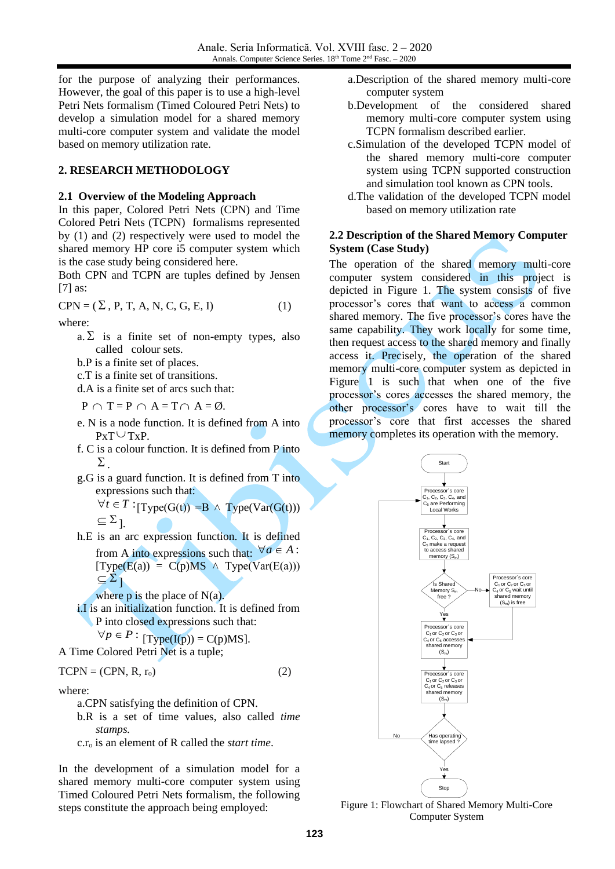for the purpose of analyzing their performances. However, the goal of this paper is to use a high-level Petri Nets formalism (Timed Coloured Petri Nets) to develop a simulation model for a shared memory multi-core computer system and validate the model based on memory utilization rate.

### **2. RESEARCH METHODOLOGY**

#### **2.1 Overview of the Modeling Approach**

In this paper, Colored Petri Nets (CPN) and Time Colored Petri Nets (TCPN) formalisms represented by (1) and (2) respectively were used to model the shared memory HP core i5 computer system which is the case study being considered here.

Both CPN and TCPN are tuples defined by Jensen [\[7\]](#page-5-9) as:

 $CPN = (\Sigma, P, T, A, N, C, G, E, I)$  (1)

where:

- $a.\Sigma$  is a finite set of non-empty types, also called colour sets.
- b.P is a finite set of places.
- c.T is a finite set of transitions.
- d.A is a finite set of arcs such that:

 $P \cap T = P \cap A = T \cap A = \emptyset.$ 

- e. N is a node function. It is defined from A into  $PxT \cup TxP.$
- f. C is a colour function. It is defined from P into  $\Sigma$
- g.G is a guard function. It is defined from T into expressions such that:
	- $\forall t \in T : [Type(G(t)) = B \land Type(Var(G(t)))$  $\subseteq \Sigma_{\;\rm}{}$
- h.E is an arc expression function. It is defined from A into expressions such that:  $\forall a \in A$ :  $[\text{Type}(E(a)) = C(p)MS \wedge \text{Type}(Var(E(a)))$  $\subseteq \Sigma_1$ 
	- where  $p$  is the place of  $N(a)$ .
- i.I is an initialization function. It is defined from P into closed expressions such that:

$$
\forall p \in P : [\text{Type(I(p))} = \text{C(p)MS}].
$$
  
A Time Colored Petri Net is a tuple:

 $TCPN = (CPN, R, r_0)$  (2)

where:

- a.CPN satisfying the definition of CPN.
- b.R is a set of time values, also called *time stamps.*
- c.r<sup>o</sup> is an element of R called the *start time*.

In the development of a simulation model for a shared memory multi-core computer system using Timed Coloured Petri Nets formalism, the following steps constitute the approach being employed:

- a.Description of the shared memory multi-core computer system
- b.Development of the considered shared memory multi-core computer system using TCPN formalism described earlier.
- c.Simulation of the developed TCPN model of the shared memory multi-core computer system using TCPN supported construction and simulation tool known as CPN tools.
- d.The validation of the developed TCPN model based on memory utilization rate

#### **2.2 Description of the Shared Memory Computer System (Case Study)**

The operation of the shared memory multi-core computer system considered in this project is depicted in Figure 1. The system consists of five processor's cores that want to access a common shared memory. The five processor's cores have the same capability. They work locally for some time, then request access to the shared memory and finally access it. Precisely, the operation of the shared memory multi-core computer system as depicted in Figure 1 is such that when one of the five processor's cores accesses the shared memory, the other processor's cores have to wait till the processor's core that first accesses the shared memory completes its operation with the memory.



Figure 1: Flowchart of Shared Memory Multi-Core Computer System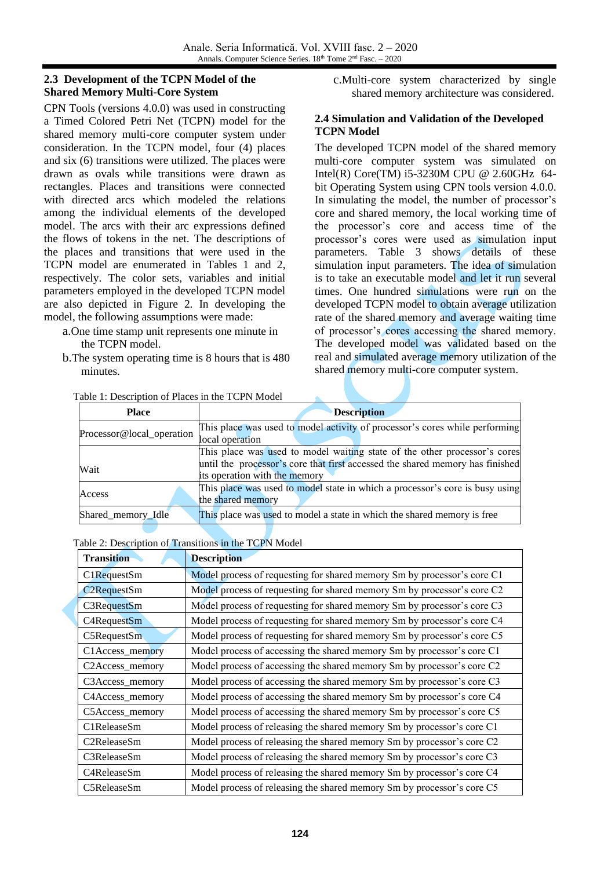#### **2.3 Development of the TCPN Model of the Shared Memory Multi-Core System**

CPN Tools (versions 4.0.0) was used in constructing a Timed Colored Petri Net (TCPN) model for the shared memory multi-core computer system under consideration. In the TCPN model, four (4) places and six (6) transitions were utilized. The places were drawn as ovals while transitions were drawn as rectangles. Places and transitions were connected with directed arcs which modeled the relations among the individual elements of the developed model. The arcs with their arc expressions defined the flows of tokens in the net. The descriptions of the places and transitions that were used in the TCPN model are enumerated in Tables 1 and 2, respectively. The color sets, variables and initial parameters employed in the developed TCPN model are also depicted in Figure 2. In developing the model, the following assumptions were made:

- a.One time stamp unit represents one minute in the TCPN model.
- b.The system operating time is 8 hours that is 480 minutes.

c.Multi-core system characterized by single shared memory architecture was considered.

### **2.4 Simulation and Validation of the Developed TCPN Model**

The developed TCPN model of the shared memory multi-core computer system was simulated on Intel(R) Core(TM) i5-3230M CPU @ 2.60GHz 64 bit Operating System using CPN tools version 4.0.0. In simulating the model, the number of processor's core and shared memory, the local working time of the processor's core and access time of the processor's cores were used as simulation input parameters. Table 3 shows details of these simulation input parameters. The idea of simulation is to take an executable model and let it run several times. One hundred simulations were run on the developed TCPN model to obtain average utilization rate of the shared memory and average waiting time of processor's cores accessing the shared memory. The developed model was validated based on the real and simulated average memory utilization of the shared memory multi-core computer system.

| <b>Place</b>              | <b>Description</b>                                                                                                                                                                          |  |  |  |  |  |
|---------------------------|---------------------------------------------------------------------------------------------------------------------------------------------------------------------------------------------|--|--|--|--|--|
| Processor@local_operation | This place was used to model activity of processor's cores while performing<br>local operation                                                                                              |  |  |  |  |  |
| Wait                      | This place was used to model waiting state of the other processor's cores<br>until the processor's core that first accessed the shared memory has finished<br>its operation with the memory |  |  |  |  |  |
| Access                    | This place was used to model state in which a processor's core is busy using<br>the shared memory                                                                                           |  |  |  |  |  |
| Shared_memory_Idle        | This place was used to model a state in which the shared memory is free                                                                                                                     |  |  |  |  |  |

Table 1: Description of Places in the TCPN Model

| Table 2: Description of Transitions in the TCPN Model |  |  |  |  |  |  |  |  |  |  |  |
|-------------------------------------------------------|--|--|--|--|--|--|--|--|--|--|--|
|                                                       |  |  |  |  |  |  |  |  |  |  |  |

| <b>Transition</b>            | <b>Description</b>                                                      |
|------------------------------|-------------------------------------------------------------------------|
| C1RequestSm                  | Model process of requesting for shared memory Sm by processor's core C1 |
| <b>C2RequestSm</b>           | Model process of requesting for shared memory Sm by processor's core C2 |
| C3RequestSm                  | Model process of requesting for shared memory Sm by processor's core C3 |
| C4RequestSm                  | Model process of requesting for shared memory Sm by processor's core C4 |
| C5RequestSm                  | Model process of requesting for shared memory Sm by processor's core C5 |
| C1Access_memory              | Model process of accessing the shared memory Sm by processor's core C1  |
| C <sub>2</sub> Access_memory | Model process of accessing the shared memory Sm by processor's core C2  |
| C3Access_memory              | Model process of accessing the shared memory Sm by processor's core C3  |
| C4Access_memory              | Model process of accessing the shared memory Sm by processor's core C4  |
| C5Access_memory              | Model process of accessing the shared memory Sm by processor's core C5  |
| C1ReleaseSm                  | Model process of releasing the shared memory Sm by processor's core C1  |
| C <sub>2</sub> ReleaseSm     | Model process of releasing the shared memory Sm by processor's core C2  |
| C3ReleaseSm                  | Model process of releasing the shared memory Sm by processor's core C3  |
| C <sub>4</sub> ReleaseSm     | Model process of releasing the shared memory Sm by processor's core C4  |
| C5ReleaseSm                  | Model process of releasing the shared memory Sm by processor's core C5  |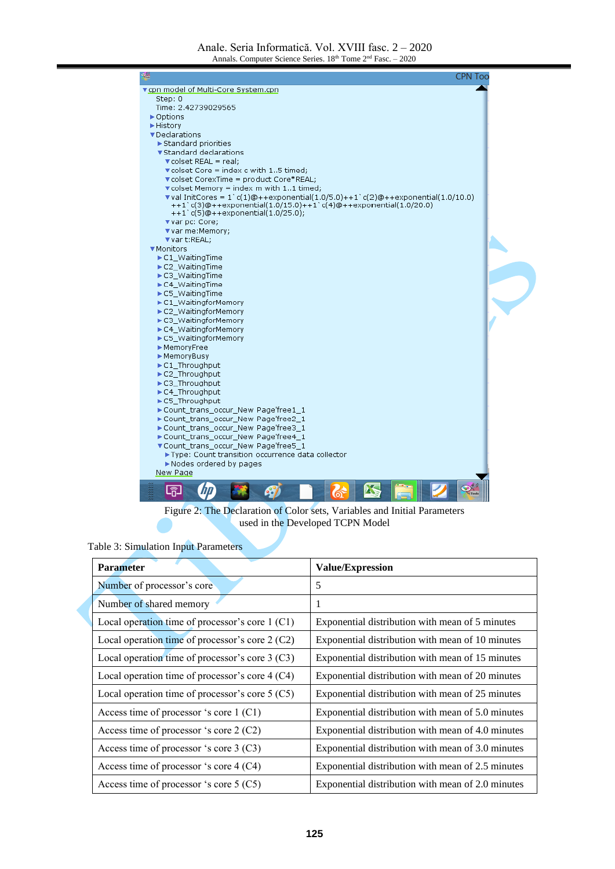| $\blacktriangledown$ val InitCores = 1 c(1)@++exponential(1.0/5.0)++1 c(2)@++exponential(1.0/10.0) |
|----------------------------------------------------------------------------------------------------|
|                                                                                                    |
|                                                                                                    |
|                                                                                                    |
|                                                                                                    |
|                                                                                                    |
|                                                                                                    |
|                                                                                                    |
|                                                                                                    |
|                                                                                                    |
|                                                                                                    |
|                                                                                                    |
|                                                                                                    |
|                                                                                                    |
|                                                                                                    |
|                                                                                                    |
|                                                                                                    |
|                                                                                                    |
|                                                                                                    |
|                                                                                                    |
|                                                                                                    |
|                                                                                                    |
|                                                                                                    |
|                                                                                                    |
|                                                                                                    |
|                                                                                                    |
|                                                                                                    |
|                                                                                                    |
|                                                                                                    |
|                                                                                                    |
|                                                                                                    |
|                                                                                                    |
|                                                                                                    |
|                                                                                                    |
|                                                                                                    |
|                                                                                                    |
|                                                                                                    |
|                                                                                                    |
|                                                                                                    |
|                                                                                                    |
|                                                                                                    |
|                                                                                                    |
|                                                                                                    |
|                                                                                                    |

Figure 2: The Declaration of Color sets, Variables and Initial Parameters used in the Developed TCPN Model

|  |  |  | Table 3: Simulation Input Parameters |
|--|--|--|--------------------------------------|
|--|--|--|--------------------------------------|

| <b>Parameter</b>                                  | <b>Value/Expression</b>                           |  |  |  |  |
|---------------------------------------------------|---------------------------------------------------|--|--|--|--|
| Number of processor's core                        | 5                                                 |  |  |  |  |
| Number of shared memory                           | 1                                                 |  |  |  |  |
| Local operation time of processor's core 1 (C1)   | Exponential distribution with mean of 5 minutes   |  |  |  |  |
| Local operation time of processor's core $2(C2)$  | Exponential distribution with mean of 10 minutes  |  |  |  |  |
| Local operation time of processor's core $3(C3)$  | Exponential distribution with mean of 15 minutes  |  |  |  |  |
| Local operation time of processor's core 4 (C4)   | Exponential distribution with mean of 20 minutes  |  |  |  |  |
| Local operation time of processor's core $5 (C5)$ | Exponential distribution with mean of 25 minutes  |  |  |  |  |
| Access time of processor 's core 1 (C1)           | Exponential distribution with mean of 5.0 minutes |  |  |  |  |
| Access time of processor 's core $2(C2)$          | Exponential distribution with mean of 4.0 minutes |  |  |  |  |
| Access time of processor 's core $3 (C3)$         | Exponential distribution with mean of 3.0 minutes |  |  |  |  |
| Access time of processor 's core 4 (C4)           | Exponential distribution with mean of 2.5 minutes |  |  |  |  |
| Access time of processor 's core $5 (C5)$         | Exponential distribution with mean of 2.0 minutes |  |  |  |  |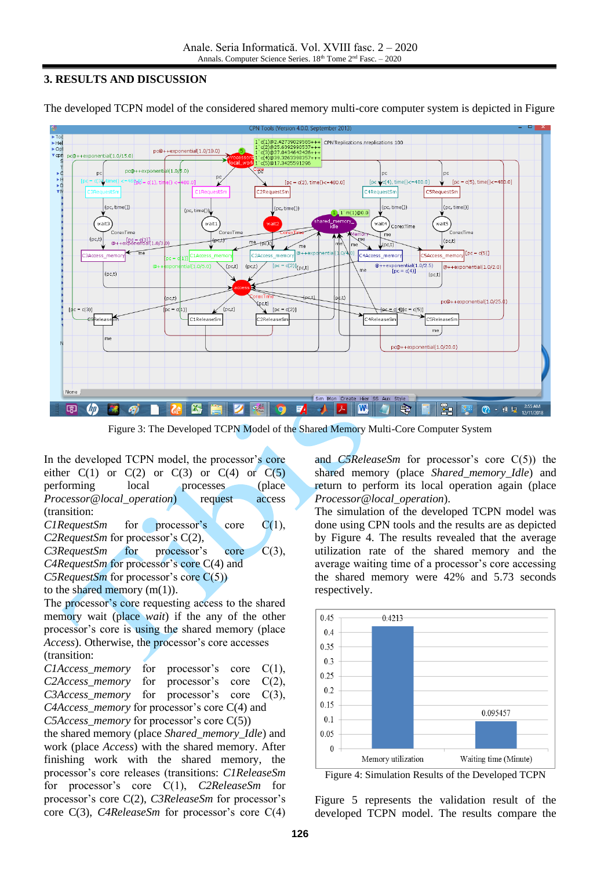#### **3. RESULTS AND DISCUSSION**



The developed TCPN model of the considered shared memory multi-core computer system is depicted in Figure

Figure 3: The Developed TCPN Model of the Shared Memory Multi-Core Computer System

In the developed TCPN model, the processor's core either  $C(1)$  or  $C(2)$  or  $C(3)$  or  $C(4)$  or  $C(5)$ performing local processes (place *Processor@local\_operation*) request access (transition:

*C1RequestSm* for processor's core C(1), *C2RequestSm* for processor's C(2), *C3RequestSm* for processor's core C(3),

*C4RequestSm* for processor's core C(4) and

*C5RequestSm* for processor's core C(5))

to the shared memory  $(m(1))$ .

The processor's core requesting access to the shared memory wait (place *wait*) if the any of the other processor's core is using the shared memory (place *Access*). Otherwise, the processor's core accesses (transition:

*C1Access\_memory* for processor's core C(1), *C2Access\_memory* for processor's core C(2), *C3Access\_memory* for processor's core C(3), *C4Access\_memory* for processor's core C(4) and *C5Access\_memory* for processor's core C(5))

the shared memory (place *Shared\_memory\_Idle*) and work (place *Access*) with the shared memory. After finishing work with the shared memory, the processor's core releases (transitions: *C1ReleaseSm*  for processor's core C(1), *C2ReleaseSm* for processor's core C(2), *C3ReleaseSm* for processor's core C(3), *C4ReleaseSm* for processor's core C(4)

and *C5ReleaseSm* for processor's core C(5)) the shared memory (place *Shared\_memory\_Idle*) and return to perform its local operation again (place *Processor@local\_operation*).

The simulation of the developed TCPN model was done using CPN tools and the results are as depicted by Figure 4. The results revealed that the average utilization rate of the shared memory and the average waiting time of a processor's core accessing the shared memory were 42% and 5.73 seconds respectively.



Figure 4: Simulation Results of the Developed TCPN

Figure 5 represents the validation result of the developed TCPN model. The results compare the